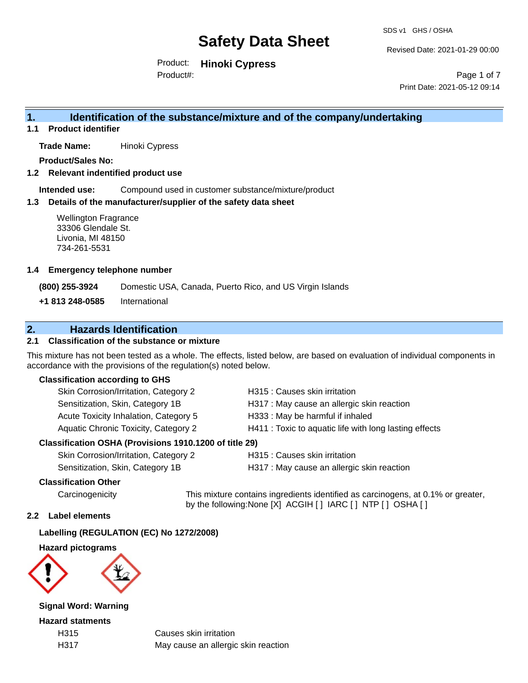Revised Date: 2021-01-29 00:00

Product: **Hinoki Cypress**

Product#:

Page 1 of 7 Print Date: 2021-05-12 09:14

### **1. Identification of the substance/mixture and of the company/undertaking**

**1.1 Product identifier**

**Trade Name:** Hinoki Cypress

**Product/Sales No:**

**1.2 Relevant indentified product use**

**Intended use:** Compound used in customer substance/mixture/product

#### **1.3 Details of the manufacturer/supplier of the safety data sheet**

Wellington Fragrance 33306 Glendale St. Livonia, MI 48150 734-261-5531

#### **1.4 Emergency telephone number**

**(800) 255-3924** Domestic USA, Canada, Puerto Rico, and US Virgin Islands

**+1 813 248-0585** International

### **2. Hazards Identification**

#### **2.1 Classification of the substance or mixture**

This mixture has not been tested as a whole. The effects, listed below, are based on evaluation of individual components in accordance with the provisions of the regulation(s) noted below.

#### **Classification according to GHS**

| Skin Corrosion/Irritation, Category 2                                                                                                                                                                                                                                                                                          | H315 : Causes skin irritation                          |
|--------------------------------------------------------------------------------------------------------------------------------------------------------------------------------------------------------------------------------------------------------------------------------------------------------------------------------|--------------------------------------------------------|
| Sensitization, Skin, Category 1B                                                                                                                                                                                                                                                                                               | H317 : May cause an allergic skin reaction             |
| Acute Toxicity Inhalation, Category 5                                                                                                                                                                                                                                                                                          | H333: May be harmful if inhaled                        |
| Aquatic Chronic Toxicity, Category 2                                                                                                                                                                                                                                                                                           | H411 : Toxic to aquatic life with long lasting effects |
| $\mathbf{A} \mathbf{A} \mathbf{A}$ $\mathbf{A} \mathbf{A}$ $\mathbf{A} \mathbf{A}$ $\mathbf{A} \mathbf{A}$ $\mathbf{A} \mathbf{A}$ $\mathbf{A} \mathbf{A}$ $\mathbf{A} \mathbf{A}$ $\mathbf{A} \mathbf{A} \mathbf{A}$ $\mathbf{A} \mathbf{A} \mathbf{A}$ $\mathbf{A} \mathbf{A} \mathbf{A}$ $\mathbf{A} \mathbf{A} \mathbf{A}$ |                                                        |

#### **Classification OSHA (Provisions 1910.1200 of title 29)**

| Skin Corrosion/Irritation, Category 2 |
|---------------------------------------|
| Sensitization, Skin, Category 1B      |

H315 : Causes skin irritation

H317 : May cause an allergic skin reaction

#### **Classification Other**

Carcinogenicity This mixture contains ingredients identified as carcinogens, at 0.1% or greater, by the following:None [X] ACGIH [ ] IARC [ ] NTP [ ] OSHA [ ]

#### **2.2 Label elements**

#### **Labelling (REGULATION (EC) No 1272/2008)**

**Hazard pictograms**



**Signal Word: Warning**

**Hazard statments**

H315 Causes skin irritation H317 May cause an allergic skin reaction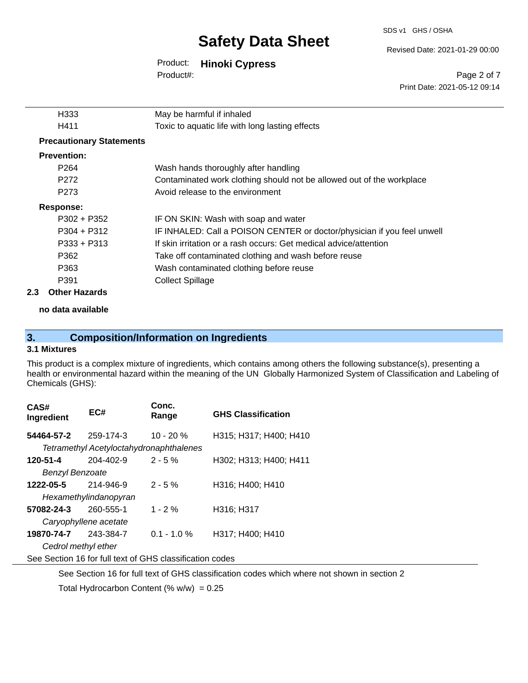SDS v1 GHS / OSHA

#### Revised Date: 2021-01-29 00:00

## Product: **Hinoki Cypress**

Product#:

Page 2 of 7 Print Date: 2021-05-12 09:14

| H333                            | May be harmful if inhaled                                               |  |  |  |
|---------------------------------|-------------------------------------------------------------------------|--|--|--|
| H411                            | Toxic to aquatic life with long lasting effects                         |  |  |  |
| <b>Precautionary Statements</b> |                                                                         |  |  |  |
| <b>Prevention:</b>              |                                                                         |  |  |  |
| P <sub>264</sub>                | Wash hands thoroughly after handling                                    |  |  |  |
| P <sub>272</sub>                | Contaminated work clothing should not be allowed out of the workplace   |  |  |  |
| P273                            | Avoid release to the environment                                        |  |  |  |
| Response:                       |                                                                         |  |  |  |
| P302 + P352                     | IF ON SKIN: Wash with soap and water                                    |  |  |  |
| $P304 + P312$                   | IF INHALED: Call a POISON CENTER or doctor/physician if you feel unwell |  |  |  |
| $P333 + P313$                   | If skin irritation or a rash occurs: Get medical advice/attention       |  |  |  |
| P362                            | Take off contaminated clothing and wash before reuse                    |  |  |  |
| P363                            | Wash contaminated clothing before reuse                                 |  |  |  |
| P391                            | <b>Collect Spillage</b>                                                 |  |  |  |
| 2.3<br><b>Other Hazards</b>     |                                                                         |  |  |  |

**no data available**

### **3. Composition/Information on Ingredients**

#### **3.1 Mixtures**

This product is a complex mixture of ingredients, which contains among others the following substance(s), presenting a health or environmental hazard within the meaning of the UN Globally Harmonized System of Classification and Labeling of Chemicals (GHS):

| CAS#<br>Ingredient                                       | EC#                                     | Conc.<br>Range | <b>GHS Classification</b> |  |  |
|----------------------------------------------------------|-----------------------------------------|----------------|---------------------------|--|--|
| 54464-57-2                                               | 259-174-3                               | $10 - 20%$     | H315; H317; H400; H410    |  |  |
|                                                          | Tetramethyl Acetyloctahydronaphthalenes |                |                           |  |  |
| 120-51-4                                                 | 204-402-9                               | $2 - 5%$       | H302; H313; H400; H411    |  |  |
| Benzyl Benzoate                                          |                                         |                |                           |  |  |
| 1222-05-5                                                | 214-946-9                               | $2 - 5%$       | H316; H400; H410          |  |  |
| Hexamethylindanopyran                                    |                                         |                |                           |  |  |
| 57082-24-3                                               | 260-555-1                               | $1 - 2%$       | H316; H317                |  |  |
| Caryophyllene acetate                                    |                                         |                |                           |  |  |
| 19870-74-7 243-384-7                                     |                                         | $0.1 - 1.0 \%$ | H317; H400; H410          |  |  |
| Cedrol methyl ether                                      |                                         |                |                           |  |  |
| See Section 16 for full text of GHS classification codes |                                         |                |                           |  |  |

See Section 16 for full text of GHS classification codes which where not shown in section 2 Total Hydrocarbon Content (%  $w/w$ ) = 0.25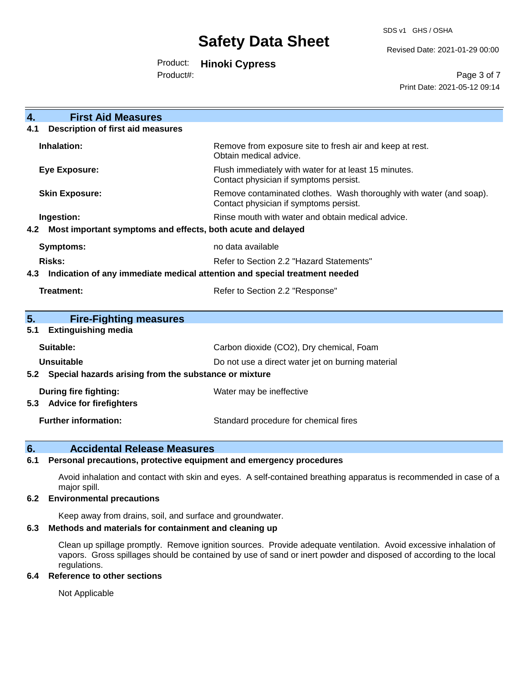SDS v1 GHS / OSHA

Revised Date: 2021-01-29 00:00

Product: **Hinoki Cypress**

Product#:

Page 3 of 7 Print Date: 2021-05-12 09:14

| $\overline{4}$ .<br><b>First Aid Measures</b>                                     |                                                                                                               |  |  |  |
|-----------------------------------------------------------------------------------|---------------------------------------------------------------------------------------------------------------|--|--|--|
| <b>Description of first aid measures</b><br>4.1                                   |                                                                                                               |  |  |  |
| Inhalation:                                                                       | Remove from exposure site to fresh air and keep at rest.<br>Obtain medical advice.                            |  |  |  |
| <b>Eye Exposure:</b>                                                              | Flush immediately with water for at least 15 minutes.<br>Contact physician if symptoms persist.               |  |  |  |
| <b>Skin Exposure:</b>                                                             | Remove contaminated clothes. Wash thoroughly with water (and soap).<br>Contact physician if symptoms persist. |  |  |  |
| Ingestion:                                                                        | Rinse mouth with water and obtain medical advice.                                                             |  |  |  |
| Most important symptoms and effects, both acute and delayed<br>4.2                |                                                                                                               |  |  |  |
| Symptoms:<br>no data available                                                    |                                                                                                               |  |  |  |
| <b>Risks:</b><br>Refer to Section 2.2 "Hazard Statements"                         |                                                                                                               |  |  |  |
| Indication of any immediate medical attention and special treatment needed<br>4.3 |                                                                                                               |  |  |  |
| <b>Treatment:</b><br>Refer to Section 2.2 "Response"                              |                                                                                                               |  |  |  |
|                                                                                   |                                                                                                               |  |  |  |
| 5.<br><b>Fire-Fighting measures</b><br><b>Extinguishing media</b><br>5.1          |                                                                                                               |  |  |  |
| Suitable:                                                                         | Carbon dioxide (CO2), Dry chemical, Foam                                                                      |  |  |  |
| <b>Unsuitable</b>                                                                 | Do not use a direct water jet on burning material                                                             |  |  |  |
| 5.2                                                                               | Special hazards arising from the substance or mixture                                                         |  |  |  |
| During fire fighting:                                                             | Water may be ineffective                                                                                      |  |  |  |
| <b>Advice for firefighters</b><br>5.3                                             |                                                                                                               |  |  |  |
| <b>Further information:</b>                                                       | Standard procedure for chemical fires                                                                         |  |  |  |

### **6. Accidental Release Measures**

#### **6.1 Personal precautions, protective equipment and emergency procedures**

Avoid inhalation and contact with skin and eyes. A self-contained breathing apparatus is recommended in case of a major spill.

#### **6.2 Environmental precautions**

Keep away from drains, soil, and surface and groundwater.

#### **6.3 Methods and materials for containment and cleaning up**

Clean up spillage promptly. Remove ignition sources. Provide adequate ventilation. Avoid excessive inhalation of vapors. Gross spillages should be contained by use of sand or inert powder and disposed of according to the local regulations.

#### **6.4 Reference to other sections**

Not Applicable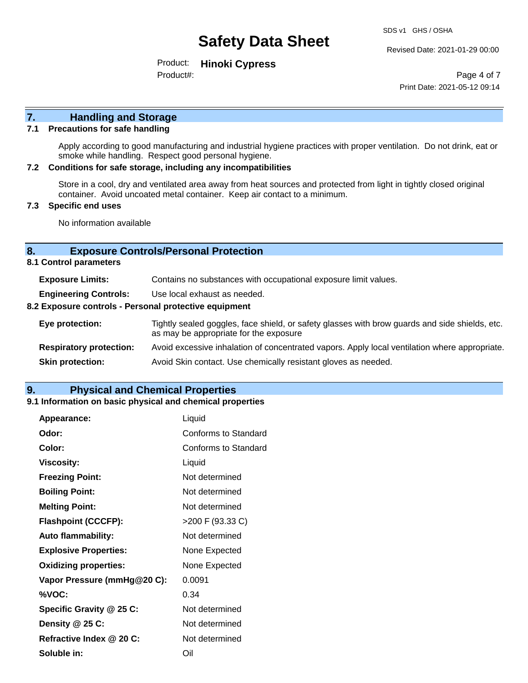Revised Date: 2021-01-29 00:00

Product: **Hinoki Cypress** Product#:

Page 4 of 7 Print Date: 2021-05-12 09:14

# **7. Handling and Storage**

#### **7.1 Precautions for safe handling**

Apply according to good manufacturing and industrial hygiene practices with proper ventilation. Do not drink, eat or smoke while handling. Respect good personal hygiene.

#### **7.2 Conditions for safe storage, including any incompatibilities**

Store in a cool, dry and ventilated area away from heat sources and protected from light in tightly closed original container. Avoid uncoated metal container. Keep air contact to a minimum.

#### **7.3 Specific end uses**

No information available

#### **8. Exposure Controls/Personal Protection**

**8.1 Control parameters**

| <b>Exposure Limits:</b>                               | Contains no substances with occupational exposure limit values.                                                                          |  |  |
|-------------------------------------------------------|------------------------------------------------------------------------------------------------------------------------------------------|--|--|
| <b>Engineering Controls:</b>                          | Use local exhaust as needed.                                                                                                             |  |  |
| 8.2 Exposure controls - Personal protective equipment |                                                                                                                                          |  |  |
| Eye protection:                                       | Tightly sealed goggles, face shield, or safety glasses with brow guards and side shields, etc.<br>as may be appropriate for the exposure |  |  |
| <b>Respiratory protection:</b>                        | Avoid excessive inhalation of concentrated vapors. Apply local ventilation where appropriate.                                            |  |  |
| <b>Skin protection:</b>                               | Avoid Skin contact. Use chemically resistant gloves as needed.                                                                           |  |  |

#### **9. Physical and Chemical Properties**

#### **9.1 Information on basic physical and chemical properties**

| Appearance:                  | Liquid               |
|------------------------------|----------------------|
| Odor:                        | Conforms to Standard |
| Color:                       | Conforms to Standard |
| <b>Viscosity:</b>            | Liquid               |
| <b>Freezing Point:</b>       | Not determined       |
| <b>Boiling Point:</b>        | Not determined       |
| <b>Melting Point:</b>        | Not determined       |
| <b>Flashpoint (CCCFP):</b>   | >200 F (93.33 C)     |
| <b>Auto flammability:</b>    | Not determined       |
| <b>Explosive Properties:</b> | None Expected        |
| <b>Oxidizing properties:</b> | None Expected        |
| Vapor Pressure (mmHg@20 C):  | 0.0091               |
| %VOC:                        | 0.34                 |
| Specific Gravity @ 25 C:     | Not determined       |
| Density @ 25 C:              | Not determined       |
| Refractive Index @ 20 C:     | Not determined       |
| Soluble in:                  | Oil                  |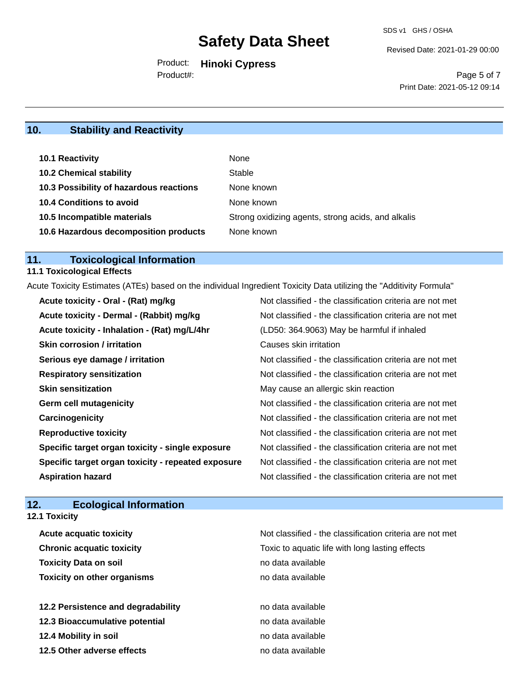Revised Date: 2021-01-29 00:00

Product: **Hinoki Cypress** Product#:

Page 5 of 7 Print Date: 2021-05-12 09:14

## **10. Stability and Reactivity**

| <b>10.1 Reactivity</b>                  | None                                               |
|-----------------------------------------|----------------------------------------------------|
| <b>10.2 Chemical stability</b>          | Stable                                             |
| 10.3 Possibility of hazardous reactions | None known                                         |
| <b>10.4 Conditions to avoid</b>         | None known                                         |
| 10.5 Incompatible materials             | Strong oxidizing agents, strong acids, and alkalis |
| 10.6 Hazardous decomposition products   | None known                                         |

# **11. Toxicological Information**

## **11.1 Toxicological Effects**

Acute Toxicity Estimates (ATEs) based on the individual Ingredient Toxicity Data utilizing the "Additivity Formula"

| Acute toxicity - Oral - (Rat) mg/kg                | Not classified - the classification criteria are not met |
|----------------------------------------------------|----------------------------------------------------------|
| Acute toxicity - Dermal - (Rabbit) mg/kg           | Not classified - the classification criteria are not met |
| Acute toxicity - Inhalation - (Rat) mg/L/4hr       | (LD50: 364.9063) May be harmful if inhaled               |
| <b>Skin corrosion / irritation</b>                 | Causes skin irritation                                   |
| Serious eye damage / irritation                    | Not classified - the classification criteria are not met |
| <b>Respiratory sensitization</b>                   | Not classified - the classification criteria are not met |
| <b>Skin sensitization</b>                          | May cause an allergic skin reaction                      |
| <b>Germ cell mutagenicity</b>                      | Not classified - the classification criteria are not met |
| Carcinogenicity                                    | Not classified - the classification criteria are not met |
| <b>Reproductive toxicity</b>                       | Not classified - the classification criteria are not met |
| Specific target organ toxicity - single exposure   | Not classified - the classification criteria are not met |
| Specific target organ toxicity - repeated exposure | Not classified - the classification criteria are not met |
| <b>Aspiration hazard</b>                           | Not classified - the classification criteria are not met |

### **12. Ecological Information**

**12.1 Toxicity**

| <b>Acute acquatic toxicity</b>     | Not classified - the classification criteria are not met |
|------------------------------------|----------------------------------------------------------|
| <b>Chronic acquatic toxicity</b>   | Toxic to aquatic life with long lasting effects          |
| <b>Toxicity Data on soil</b>       | no data available                                        |
| <b>Toxicity on other organisms</b> | no data available                                        |
|                                    |                                                          |
| 12.2 Persistence and degradability | no data available                                        |
| 12.3 Bioaccumulative potential     | no data available                                        |
| 12.4 Mobility in soil              | no data available                                        |
| 12.5 Other adverse effects         | no data available                                        |
|                                    |                                                          |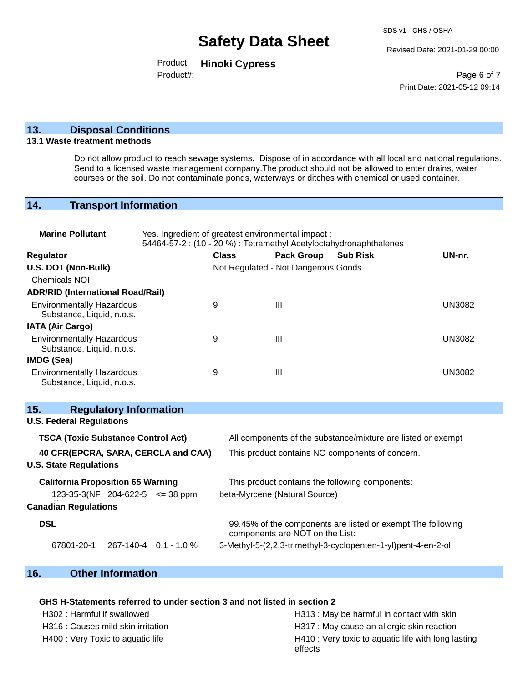Revised Date: 2021-01-29 00:00

Product: **Hinoki Cypress** Product#:

Page 6 of 7 Print Date: 2021-05-12 09:14

#### **13. Disposal Conditions**

#### **13.1 Waste treatment methods**

Do not allow product to reach sewage systems. Dispose of in accordance with all local and national regulations. Send to a licensed waste management company.The product should not be allowed to enter drains, water courses or the soil. Do not contaminate ponds, waterways or ditches with chemical or used container.

### **14. Transport Information**

| <b>Marine Pollutant</b>                                                                                                 | Yes. Ingredient of greatest environmental impact:<br>54464-57-2 : (10 - 20 %) : Tetramethyl Acetyloctahydronaphthalenes |                                     |                                 |                                                               |               |
|-------------------------------------------------------------------------------------------------------------------------|-------------------------------------------------------------------------------------------------------------------------|-------------------------------------|---------------------------------|---------------------------------------------------------------|---------------|
| Regulator                                                                                                               |                                                                                                                         | <b>Class</b>                        | <b>Pack Group</b>               | <b>Sub Risk</b>                                               | UN-nr.        |
| U.S. DOT (Non-Bulk)<br><b>Chemicals NOI</b>                                                                             |                                                                                                                         | Not Regulated - Not Dangerous Goods |                                 |                                                               |               |
| <b>ADR/RID (International Road/Rail)</b>                                                                                |                                                                                                                         |                                     |                                 |                                                               |               |
| <b>Environmentally Hazardous</b><br>Substance, Liquid, n.o.s.                                                           |                                                                                                                         | 9                                   | Ш                               |                                                               | <b>UN3082</b> |
| <b>IATA (Air Cargo)</b>                                                                                                 |                                                                                                                         |                                     |                                 |                                                               |               |
| <b>Environmentally Hazardous</b><br>Substance, Liquid, n.o.s.                                                           |                                                                                                                         | 9                                   | Ш                               |                                                               | <b>UN3082</b> |
| IMDG (Sea)                                                                                                              |                                                                                                                         |                                     |                                 |                                                               |               |
| <b>Environmentally Hazardous</b><br>Substance, Liquid, n.o.s.                                                           |                                                                                                                         | 9                                   | III                             |                                                               | <b>UN3082</b> |
| 15.<br><b>Regulatory Information</b>                                                                                    |                                                                                                                         |                                     |                                 |                                                               |               |
| <b>U.S. Federal Regulations</b>                                                                                         |                                                                                                                         |                                     |                                 |                                                               |               |
| <b>TSCA (Toxic Substance Control Act)</b><br>All components of the substance/mixture are listed or exempt               |                                                                                                                         |                                     |                                 |                                                               |               |
| 40 CFR(EPCRA, SARA, CERCLA and CAA)<br>This product contains NO components of concern.<br><b>U.S. State Regulations</b> |                                                                                                                         |                                     |                                 |                                                               |               |
| <b>California Proposition 65 Warning</b><br>This product contains the following components:                             |                                                                                                                         |                                     |                                 |                                                               |               |
| 123-35-3(NF 204-622-5 $\leq$ 38 ppm                                                                                     |                                                                                                                         |                                     | beta-Myrcene (Natural Source)   |                                                               |               |
| <b>Canadian Regulations</b>                                                                                             |                                                                                                                         |                                     |                                 |                                                               |               |
| <b>DSL</b>                                                                                                              |                                                                                                                         |                                     | components are NOT on the List: | 99.45% of the components are listed or exempt. The following  |               |
| 67801-20-1                                                                                                              | 267-140-4 0.1 - 1.0 %                                                                                                   |                                     |                                 | 3-Methyl-5-(2,2,3-trimethyl-3-cyclopenten-1-yl)pent-4-en-2-ol |               |

### **16. Other Information**

#### **GHS H-Statements referred to under section 3 and not listed in section 2**

H302 : Harmful if swallowed H313 : May be harmful in contact with skin H316 : Causes mild skin irritation **H**317 : May cause an allergic skin reaction H400 : Very Toxic to aquatic life **H410** : Very toxic to aquatic life with long lasting effects